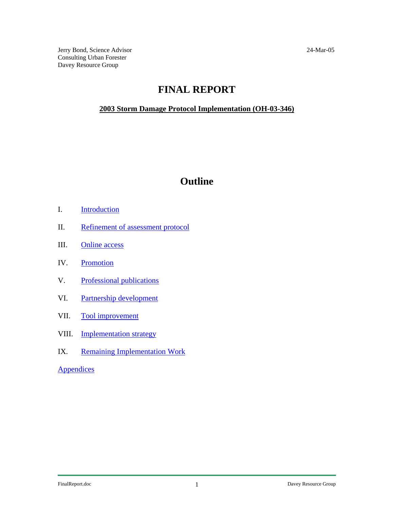## **FINAL REPORT**

#### <span id="page-0-0"></span>**2003 Storm Damage Protocol Implementation (OH-03-346)**

# **Outline**

- I. [Introduction](#page-1-0)
- II. [Refinement of assessment protocol](#page-3-0)
- III. [Online access](#page-7-0)
- IV. [Promotion](#page-8-0)
- V. [Professional publications](#page-9-0)
- VI. [Partnership development](#page-10-0)
- VII. [Tool improvement](#page-12-0)
- VIII. [Implementation strategy](#page-18-0)
- IX. [Remaining Implementation Work](#page-18-0)

**[Appendices](#page-0-0)**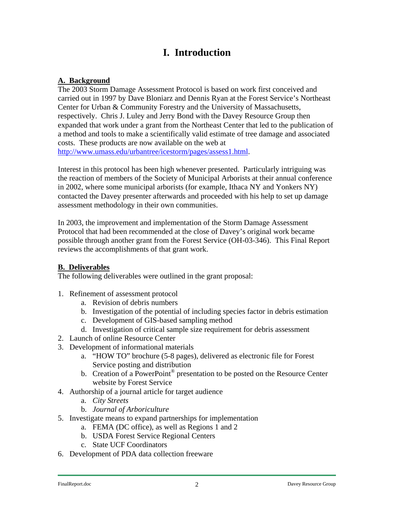# **I. Introduction**

#### <span id="page-1-0"></span>**A. Background**

The 2003 Storm Damage Assessment Protocol is based on work first conceived and carried out in 1997 by Dave Bloniarz and Dennis Ryan at the Forest Service's Northeast Center for Urban & Community Forestry and the University of Massachusetts, respectively. Chris J. Luley and Jerry Bond with the Davey Resource Group then expanded that work under a grant from the Northeast Center that led to the publication of a method and tools to make a scientifically valid estimate of tree damage and associated costs. These products are now available on the web at [http://www.umass.edu/urbantree/icestorm/pages/assess1.html.](http://www.umass.edu/urbantree/icestorm/pages/assess1.html)

Interest in this protocol has been high whenever presented. Particularly intriguing was the reaction of members of the Society of Municipal Arborists at their annual conference in 2002, where some municipal arborists (for example, Ithaca NY and Yonkers NY) contacted the Davey presenter afterwards and proceeded with his help to set up damage assessment methodology in their own communities.

In 2003, the improvement and implementation of the Storm Damage Assessment Protocol that had been recommended at the close of Davey's original work became possible through another grant from the Forest Service (OH-03-346). This Final Report reviews the accomplishments of that grant work.

#### **B. Deliverables**

The following deliverables were outlined in the grant proposal:

- 1. Refinement of assessment protocol
	- a. Revision of debris numbers
	- b. Investigation of the potential of including species factor in debris estimation
	- c. Development of GIS-based sampling method
	- d. Investigation of critical sample size requirement for debris assessment
- 2. Launch of online Resource Center
- 3. Development of informational materials
	- a. "HOW TO" brochure (5-8 pages), delivered as electronic file for Forest Service posting and distribution
	- b. Creation of a PowerPoint<sup>®</sup> presentation to be posted on the Resource Center website by Forest Service
- 4. Authorship of a journal article for target audience
	- a. *City Streets*
	- b. *Journal of Arboriculture*
- 5. Investigate means to expand partnerships for implementation
	- a. FEMA (DC office), as well as Regions 1 and 2
	- b. USDA Forest Service Regional Centers
	- c. State UCF Coordinators
- 6. Development of PDA data collection freeware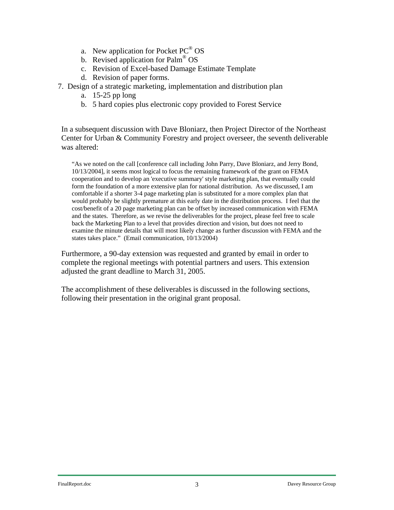- a. New application for Pocket  $PC^{\circledR}$  OS
- b. Revised application for Palm® OS
- c. Revision of Excel-based Damage Estimate Template
- d. Revision of paper forms.
- 7. Design of a strategic marketing, implementation and distribution plan
	- a. 15-25 pp long
	- b. 5 hard copies plus electronic copy provided to Forest Service

In a subsequent discussion with Dave Bloniarz, then Project Director of the Northeast Center for Urban & Community Forestry and project overseer, the seventh deliverable was altered:

"As we noted on the call [conference call including John Parry, Dave Bloniarz, and Jerry Bond, 10/13/2004], it seems most logical to focus the remaining framework of the grant on FEMA cooperation and to develop an 'executive summary' style marketing plan, that eventually could form the foundation of a more extensive plan for national distribution. As we discussed, I am comfortable if a shorter 3-4 page marketing plan is substituted for a more complex plan that would probably be slightly premature at this early date in the distribution process. I feel that the cost/benefit of a 20 page marketing plan can be offset by increased communication with FEMA and the states. Therefore, as we revise the deliverables for the project, please feel free to scale back the Marketing Plan to a level that provides direction and vision, but does not need to examine the minute details that will most likely change as further discussion with FEMA and the states takes place." (Email communication, 10/13/2004)

Furthermore, a 90-day extension was requested and granted by email in order to complete the regional meetings with potential partners and users. This extension adjusted the grant deadline to March 31, 2005.

The accomplishment of these deliverables is discussed in the following sections, following their presentation in the original grant proposal.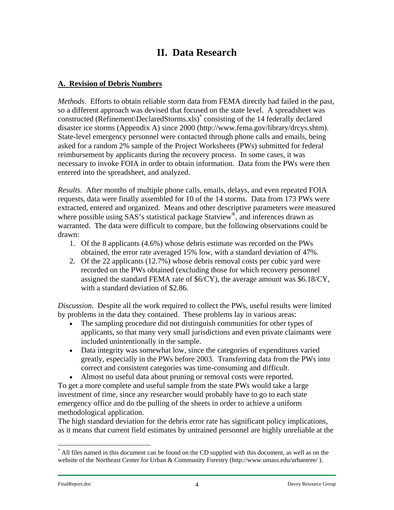# **II. Data Research**

### <span id="page-3-0"></span>**A. Revision of Debris Numbers**

*Methods*. Efforts to obtain reliable storm data from FEMA directly had failed in the past, so a different approach was devised that focused on the state level. A spreadsheet was constructed (Refinement\DeclaredStorms.xls)[\\*](#page-3-1) consisting of the 14 federally declared disaster ice storms (Appendix A) since 2000 (http://www.fema.gov/library/drcys.shtm). State-level emergency personnel were contacted through phone calls and emails, being asked for a random 2% sample of the Project Worksheets (PWs) submitted for federal reimbursement by applicants during the recovery process. In some cases, it was necessary to invoke FOIA in order to obtain information. Data from the PWs were then entered into the spreadsheet, and analyzed.

*Results.* After months of multiple phone calls, emails, delays, and even repeated FOIA requests, data were finally assembled for 10 of the 14 storms. Data from 173 PWs were extracted, entered and organized. Means and other descriptive parameters were measured where possible using SAS's statistical package Statview<sup>®</sup>, and inferences drawn as warranted. The data were difficult to compare, but the following observations could be drawn:

- 1. Of the 8 applicants (4.6%) whose debris estimate was recorded on the PWs obtained, the error rate averaged 15% low, with a standard deviation of 47%.
- 2. Of the 22 applicants (12.7%) whose debris removal costs per cubic yard were recorded on the PWs obtained (excluding those for which recovery personnel assigned the standard FEMA rate of \$6/CY), the average amount was \$6.18/CY, with a standard deviation of \$2.86.

*Discussion*. Despite all the work required to collect the PWs, useful results were limited by problems in the data they contained. These problems lay in various areas:

- The sampling procedure did not distinguish communities for other types of applicants, so that many very small jurisdictions and even private claimants were included unintentionally in the sample.
- Data integrity was somewhat low, since the categories of expenditures varied greatly, especially in the PWs before 2003. Transferring data from the PWs into correct and consistent categories was time-consuming and difficult.
- Almost no useful data about pruning or removal costs were reported.

To get a more complete and useful sample from the state PWs would take a large investment of time, since any researcher would probably have to go to each state emergency office and do the pulling of the sheets in order to achieve a uniform methodological application.

The high standard deviation for the debris error rate has significant policy implications, as it means that current field estimates by untrained personnel are highly unreliable at the

 $\overline{a}$ 

<span id="page-3-1"></span><sup>\*</sup> All files named in this document can be found on the CD supplied with this document, as well as on the website of the Northeast Center for Urban & Community Forestry (http://www.umass.edu/urbantree/ ).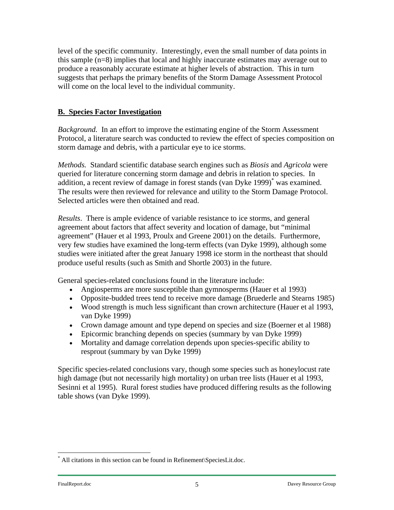level of the specific community. Interestingly, even the small number of data points in this sample (n=8) implies that local and highly inaccurate estimates may average out to produce a reasonably accurate estimate at higher levels of abstraction. This in turn suggests that perhaps the primary benefits of the Storm Damage Assessment Protocol will come on the local level to the individual community.

#### **B. Species Factor Investigation**

*Background.* In an effort to improve the estimating engine of the Storm Assessment Protocol, a literature search was conducted to review the effect of species composition on storm damage and debris, with a particular eye to ice storms.

*Methods.* Standard scientific database search engines such as *Biosis* and *Agricola* were queried for literature concerning storm damage and debris in relation to species. In addition, a recent review of damage in forest stands (van Dyke 1999)<sup>\*</sup> was examined. The results were then reviewed for relevance and utility to the Storm Damage Protocol. Selected articles were then obtained and read.

*Results*. There is ample evidence of variable resistance to ice storms, and general agreement about factors that affect severity and location of damage, but "minimal agreement" (Hauer et al 1993, Proulx and Greene 2001) on the details. Furthermore, very few studies have examined the long-term effects (van Dyke 1999), although some studies were initiated after the great January 1998 ice storm in the northeast that should produce useful results (such as Smith and Shortle 2003) in the future.

General species-related conclusions found in the literature include:

- Angiosperms are more susceptible than gymnosperms (Hauer et al 1993)
- Opposite-budded trees tend to receive more damage (Bruederle and Stearns 1985)
- Wood strength is much less significant than crown architecture (Hauer et al 1993, van Dyke 1999)
- Crown damage amount and type depend on species and size (Boerner et al 1988)
- Epicormic branching depends on species (summary by van Dyke 1999)
- Mortality and damage correlation depends upon species-specific ability to resprout (summary by van Dyke 1999)

Specific species-related conclusions vary, though some species such as honeylocust rate high damage (but not necessarily high mortality) on urban tree lists (Hauer et al 1993, Sesinni et al 1995). Rural forest studies have produced differing results as the following table shows (van Dyke 1999).

 $\overline{a}$ 

<span id="page-4-0"></span><sup>\*</sup> All citations in this section can be found in Refinement\SpeciesLit.doc.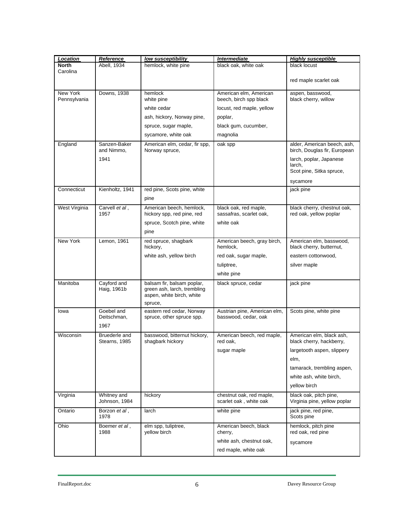| Location                 | <b>Reference</b>               | low susceptibility                                                                     | Intermediate                                       | <b>Highly susceptible</b>                                   |  |  |  |
|--------------------------|--------------------------------|----------------------------------------------------------------------------------------|----------------------------------------------------|-------------------------------------------------------------|--|--|--|
| <b>North</b>             | Abell, 1934                    | hemlock, white pine                                                                    | black oak, white oak                               | black locust                                                |  |  |  |
| Carolina                 |                                |                                                                                        |                                                    | red maple scarlet oak                                       |  |  |  |
| New York<br>Pennsylvania | Downs, 1938                    | hemlock<br>white pine                                                                  | American elm, American<br>beech, birch spp black   | aspen, basswood,<br>black cherry, willow                    |  |  |  |
|                          |                                | white cedar                                                                            | locust, red maple, yellow                          |                                                             |  |  |  |
|                          |                                | ash, hickory, Norway pine,                                                             | poplar,                                            |                                                             |  |  |  |
|                          |                                | spruce, sugar maple,                                                                   | black gum, cucumber,                               |                                                             |  |  |  |
|                          |                                | sycamore, white oak                                                                    | magnolia                                           |                                                             |  |  |  |
| England                  | Sanzen-Baker<br>and Nimmo,     | American elm, cedar, fir spp,<br>Norway spruce,                                        | oak spp                                            | alder, American beech, ash,<br>birch, Douglas fir, European |  |  |  |
|                          | 1941                           |                                                                                        |                                                    | larch, poplar, Japanese                                     |  |  |  |
|                          |                                |                                                                                        |                                                    | larch,<br>Scot pine, Sitka spruce,                          |  |  |  |
|                          |                                |                                                                                        |                                                    | sycamore                                                    |  |  |  |
| Connecticut              | Kienholtz, 1941                | red pine, Scots pine, white                                                            |                                                    | jack pine                                                   |  |  |  |
|                          |                                | pine                                                                                   |                                                    |                                                             |  |  |  |
| West Virginia            | Carvell et al,                 | American beech, hemlock,                                                               | black oak, red maple,                              | black cherry, chestnut oak,                                 |  |  |  |
|                          | 1957                           | hickory spp, red pine, red                                                             | sassafras, scarlet oak,                            | red oak, yellow poplar                                      |  |  |  |
|                          |                                | spruce, Scotch pine, white                                                             | white oak                                          |                                                             |  |  |  |
|                          |                                | pine                                                                                   |                                                    |                                                             |  |  |  |
| New York                 | Lemon, 1961                    | red spruce, shagbark<br>hickory,                                                       | American beech, gray birch,<br>hemlock,            | American elm, basswood,<br>black cherry, butternut,         |  |  |  |
|                          |                                | white ash, yellow birch                                                                | red oak, sugar maple,                              | eastern cottonwood,                                         |  |  |  |
|                          |                                |                                                                                        | tuliptree,                                         | silver maple                                                |  |  |  |
|                          |                                |                                                                                        | white pine                                         |                                                             |  |  |  |
| Manitoba                 | Cayford and<br>Haig, 1961b     | balsam fir, balsam poplar,<br>green ash, larch, trembling<br>aspen, white birch, white | black spruce, cedar                                | jack pine                                                   |  |  |  |
| lowa                     | Goebel and                     | spruce,<br>eastern red cedar, Norway                                                   | Austrian pine, American elm,                       | Scots pine, white pine                                      |  |  |  |
|                          | Deitschman,<br>1967            | spruce, other spruce spp.                                                              | basswood, cedar, oak                               |                                                             |  |  |  |
| Wisconsin                | Bruederle and<br>Stearns, 1985 | basswood, bitternut hickory,<br>shagbark hickory                                       | American beech, red maple,<br>red oak,             | American elm, black ash,<br>black cherry, hackberry,        |  |  |  |
|                          |                                |                                                                                        | sugar maple                                        | largetooth aspen, slippery                                  |  |  |  |
|                          |                                |                                                                                        |                                                    | elm,                                                        |  |  |  |
|                          |                                |                                                                                        |                                                    | tamarack, trembling aspen,                                  |  |  |  |
|                          |                                |                                                                                        |                                                    | white ash, white birch,                                     |  |  |  |
|                          |                                |                                                                                        |                                                    | yellow birch                                                |  |  |  |
| Virginia                 | Whitney and<br>Johnson, 1984   | hickory                                                                                | chestnut oak, red maple,<br>scarlet oak, white oak | black oak, pitch pine,<br>Virginia pine, yellow poplar      |  |  |  |
| Ontario                  | Borzon <i>et al</i> ,<br>1978  | larch                                                                                  | white pine                                         | jack pine, red pine,<br>Scots pine                          |  |  |  |
| Ohio                     | Boemer et al,<br>1988          | elm spp, tuliptree,<br>yellow birch                                                    | American beech, black<br>cherry,                   | hemlock, pitch pine<br>red oak, red pine                    |  |  |  |
|                          |                                |                                                                                        | white ash, chestnut oak,                           | sycamore                                                    |  |  |  |
|                          |                                |                                                                                        | red maple, white oak                               |                                                             |  |  |  |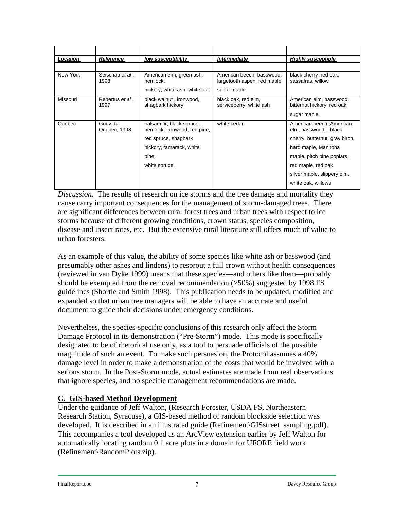| Location | Reference                       | low susceptibility                                        | Intermediate                                              | <b>Highly susceptible</b>                              |
|----------|---------------------------------|-----------------------------------------------------------|-----------------------------------------------------------|--------------------------------------------------------|
|          |                                 |                                                           |                                                           |                                                        |
| New York | Seischab et al,<br>1993         | American elm, green ash,<br>hemlock.                      | American beech, basswood,<br>largetooth aspen, red maple, | black cherry , red oak,<br>sassafras, willow           |
|          |                                 | hickory, white ash, white oak                             | sugar maple                                               |                                                        |
| Missouri | Rebertus <i>et al</i> ,<br>1997 | black walnut, ironwood,<br>shagbark hickory               | black oak, red elm,<br>serviceberry, white ash            | American elm, basswood,<br>bitternut hickory, red oak, |
|          |                                 |                                                           |                                                           | sugar maple,                                           |
| Quebec   | Gouv du<br>Quebec, 1998         | balsam fir, black spruce,<br>hemlock, ironwood, red pine, | white cedar                                               | American beech, American<br>elm, basswood, , black     |
|          |                                 | red spruce, shagbark                                      |                                                           | cherry, butternut, gray birch,                         |
|          |                                 | hickory, tamarack, white                                  |                                                           | hard maple, Manitoba                                   |
|          |                                 | pine,                                                     |                                                           | maple, pitch pine poplars,                             |
|          |                                 | white spruce,                                             |                                                           | red maple, red oak,                                    |
|          |                                 |                                                           |                                                           | silver maple, slippery elm,                            |
|          |                                 |                                                           |                                                           | white oak, willows                                     |

*Discussion.* The results of research on ice storms and the tree damage and mortality they cause carry important consequences for the management of storm-damaged trees. There are significant differences between rural forest trees and urban trees with respect to ice storms because of different growing conditions, crown status, species composition, disease and insect rates, etc. But the extensive rural literature still offers much of value to urban foresters.

As an example of this value, the ability of some species like white ash or basswood (and presumably other ashes and lindens) to resprout a full crown without health consequences (reviewed in van Dyke 1999) means that these species—and others like them—probably should be exempted from the removal recommendation (>50%) suggested by 1998 FS guidelines (Shortle and Smith 1998). This publication needs to be updated, modified and expanded so that urban tree managers will be able to have an accurate and useful document to guide their decisions under emergency conditions.

Nevertheless, the species-specific conclusions of this research only affect the Storm Damage Protocol in its demonstration ("Pre-Storm") mode. This mode is specifically designated to be of rhetorical use only, as a tool to persuade officials of the possible magnitude of such an event. To make such persuasion, the Protocol assumes a 40% damage level in order to make a demonstration of the costs that would be involved with a serious storm. In the Post-Storm mode, actual estimates are made from real observations that ignore species, and no specific management recommendations are made.

### **C. GIS-based Method Development**

Under the guidance of Jeff Walton, (Research Forester, USDA FS, Northeastern Research Station, Syracuse), a GIS-based method of random blockside selection was developed. It is described in an illustrated guide (Refinement\GISstreet\_sampling.pdf). This accompanies a tool developed as an ArcView extension earlier by Jeff Walton for automatically locating random 0.1 acre plots in a domain for UFORE field work (Refinement\RandomPlots.zip).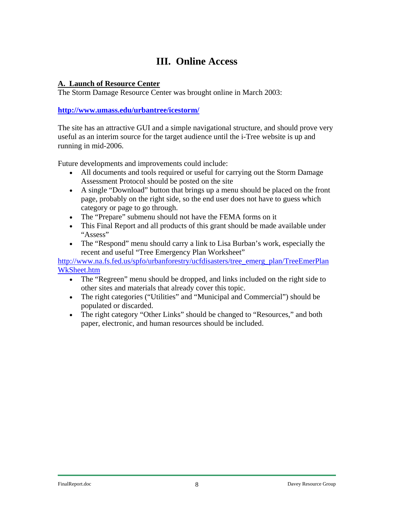# **III. Online Access**

#### <span id="page-7-0"></span>**A. Launch of Resource Center**

The Storm Damage Resource Center was brought online in March 2003:

#### **<http://www.umass.edu/urbantree/icestorm/>**

The site has an attractive GUI and a simple navigational structure, and should prove very useful as an interim source for the target audience until the i-Tree website is up and running in mid-2006.

Future developments and improvements could include:

- All documents and tools required or useful for carrying out the Storm Damage Assessment Protocol should be posted on the site
- A single "Download" button that brings up a menu should be placed on the front page, probably on the right side, so the end user does not have to guess which category or page to go through.
- The "Prepare" submenu should not have the FEMA forms on it
- This Final Report and all products of this grant should be made available under "Assess"
- The "Respond" menu should carry a link to Lisa Burban's work, especially the recent and useful "Tree Emergency Plan Worksheet"

[http://www.na.fs.fed.us/spfo/urbanforestry/ucfdisasters/tree\\_emerg\\_plan/TreeEmerPlan](http://www.na.fs.fed.us/spfo/urbanforestry/ucfdisasters/tree_emerg_plan/TreeEmerPlanWkSheet.htm) [WkSheet.htm](http://www.na.fs.fed.us/spfo/urbanforestry/ucfdisasters/tree_emerg_plan/TreeEmerPlanWkSheet.htm)

- The "Regreen" menu should be dropped, and links included on the right side to other sites and materials that already cover this topic.
- The right categories ("Utilities" and "Municipal and Commercial") should be populated or discarded.
- The right category "Other Links" should be changed to "Resources," and both paper, electronic, and human resources should be included.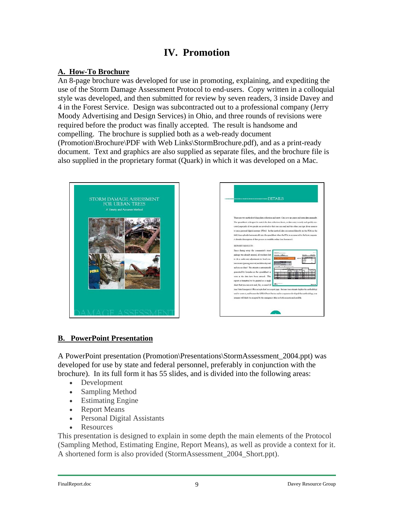### **IV. Promotion**

#### <span id="page-8-0"></span>**A. How-To Brochure**

An 8-page brochure was developed for use in promoting, explaining, and expediting the use of the Storm Damage Assessment Protocol to end-users. Copy written in a colloquial style was developed, and then submitted for review by seven readers, 3 inside Davey and 4 in the Forest Service. Design was subcontracted out to a professional company (Jerry Moody Advertising and Design Services) in Ohio, and three rounds of revisions were required before the product was finally accepted. The result is handsome and compelling. The brochure is supplied both as a web-ready document (Promotion\Brochure\PDF with Web Links\StormBrochure.pdf), and as a print-ready document. Text and graphics are also supplied as separate files, and the brochure file is also supplied in the proprietary format (Quark) in which it was developed on a Mac.





### **B. PowerPoint Presentation**

A PowerPoint presentation (Promotion\Presentations\StormAssessment\_2004.ppt) was developed for use by state and federal personnel, preferably in conjunction with the brochure). In its full form it has 55 slides, and is divided into the following areas:

- Development
- Sampling Method
- Estimating Engine
- Report Means
- Personal Digital Assistants
- **Resources**

This presentation is designed to explain in some depth the main elements of the Protocol (Sampling Method, Estimating Engine, Report Means), as well as provide a context for it. A shortened form is also provided (StormAssessment\_2004\_Short.ppt).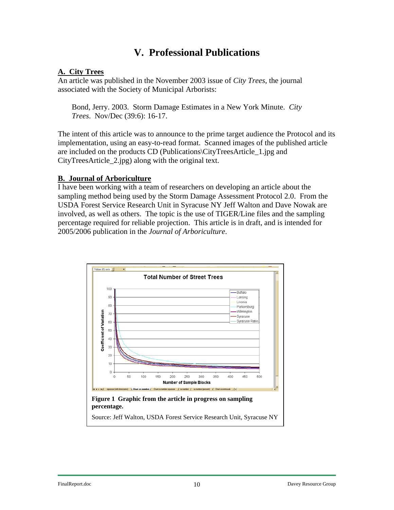### **V. Professional Publications**

#### <span id="page-9-0"></span>**A. City Trees**

An article was published in the November 2003 issue of *City Trees*, the journal associated with the Society of Municipal Arborists:

Bond, Jerry. 2003. Storm Damage Estimates in a New York Minute. *City Trees*. Nov/Dec (39:6): 16-17.

The intent of this article was to announce to the prime target audience the Protocol and its implementation, using an easy-to-read format. Scanned images of the published article are included on the products CD (Publications\CityTreesArticle\_1.jpg and CityTreesArticle\_2.jpg) along with the original text.

#### **B. Journal of Arboriculture**

I have been working with a team of researchers on developing an article about the sampling method being used by the Storm Damage Assessment Protocol 2.0. From the USDA Forest Service Research Unit in Syracuse NY Jeff Walton and Dave Nowak are involved, as well as others. The topic is the use of TIGER/Line files and the sampling percentage required for reliable projection. This article is in draft, and is intended for 2005/2006 publication in the *Journal of Arboriculture*.

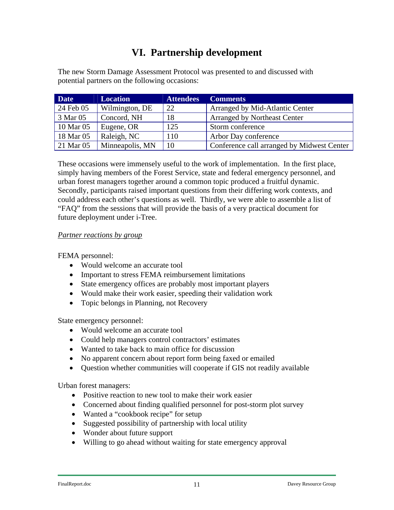# **VI. Partnership development**

<span id="page-10-0"></span>The new Storm Damage Assessment Protocol was presented to and discussed with potential partners on the following occasions:

| <b>Date</b> | <b>Location</b> | <b>Attendees</b> | <b>Comments</b>                            |
|-------------|-----------------|------------------|--------------------------------------------|
| 24 Feb 05   | Wilmington, DE  | 22               | Arranged by Mid-Atlantic Center            |
| 3 Mar 05    | Concord, NH     | 18               | <b>Arranged by Northeast Center</b>        |
| 10 Mar 05   | Eugene, OR      | 125              | Storm conference                           |
| 18 Mar 05   | Raleigh, NC     | 110              | Arbor Day conference                       |
| 21 Mar 05   | Minneapolis, MN | 10               | Conference call arranged by Midwest Center |

These occasions were immensely useful to the work of implementation. In the first place, simply having members of the Forest Service, state and federal emergency personnel, and urban forest managers together around a common topic produced a fruitful dynamic. Secondly, participants raised important questions from their differing work contexts, and could address each other's questions as well. Thirdly, we were able to assemble a list of "FAQ" from the sessions that will provide the basis of a very practical document for future deployment under i-Tree.

#### *Partner reactions by group*

FEMA personnel:

- Would welcome an accurate tool
- Important to stress FEMA reimbursement limitations
- State emergency offices are probably most important players
- Would make their work easier, speeding their validation work
- Topic belongs in Planning, not Recovery

State emergency personnel:

- Would welcome an accurate tool
- Could help managers control contractors' estimates
- Wanted to take back to main office for discussion
- No apparent concern about report form being faxed or emailed
- Question whether communities will cooperate if GIS not readily available

Urban forest managers:

- Positive reaction to new tool to make their work easier
- Concerned about finding qualified personnel for post-storm plot survey
- Wanted a "cookbook recipe" for setup
- Suggested possibility of partnership with local utility
- Wonder about future support
- Willing to go ahead without waiting for state emergency approval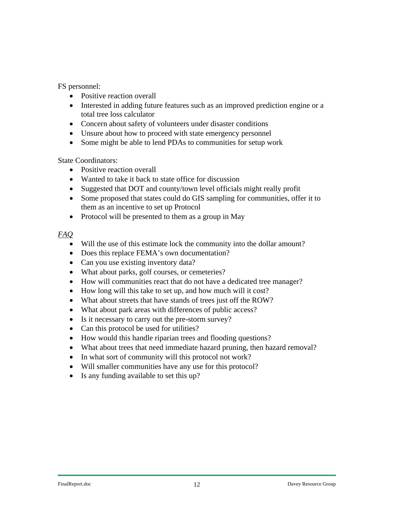FS personnel:

- Positive reaction overall
- Interested in adding future features such as an improved prediction engine or a total tree loss calculator
- Concern about safety of volunteers under disaster conditions
- Unsure about how to proceed with state emergency personnel
- Some might be able to lend PDAs to communities for setup work

State Coordinators:

- Positive reaction overall
- Wanted to take it back to state office for discussion
- Suggested that DOT and county/town level officials might really profit
- Some proposed that states could do GIS sampling for communities, offer it to them as an incentive to set up Protocol
- Protocol will be presented to them as a group in May

#### *FAQ*

- Will the use of this estimate lock the community into the dollar amount?
- Does this replace FEMA's own documentation?
- Can you use existing inventory data?
- What about parks, golf courses, or cemeteries?
- How will communities react that do not have a dedicated tree manager?
- How long will this take to set up, and how much will it cost?
- What about streets that have stands of trees just off the ROW?
- What about park areas with differences of public access?
- Is it necessary to carry out the pre-storm survey?
- Can this protocol be used for utilities?
- How would this handle riparian trees and flooding questions?
- What about trees that need immediate hazard pruning, then hazard removal?
- In what sort of community will this protocol not work?
- Will smaller communities have any use for this protocol?
- Is any funding available to set this up?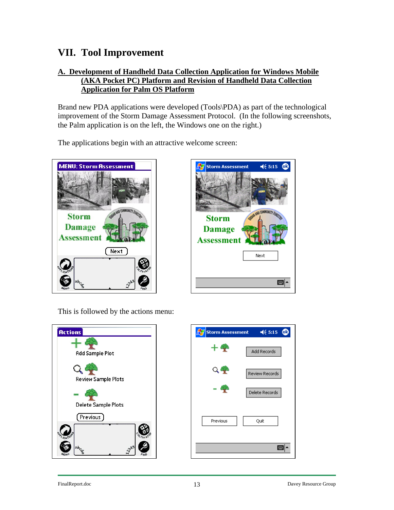### <span id="page-12-0"></span>**VII. Tool Improvement**

#### **A. Development of Handheld Data Collection Application for Windows Mobile (AKA Pocket PC) Platform and Revision of Handheld Data Collection Application for Palm OS Platform**

Brand new PDA applications were developed (Tools\PDA) as part of the technological improvement of the Storm Damage Assessment Protocol. (In the following screenshots, the Palm application is on the left, the Windows one on the right.)

The applications begin with an attractive welcome screen:





This is followed by the actions menu:



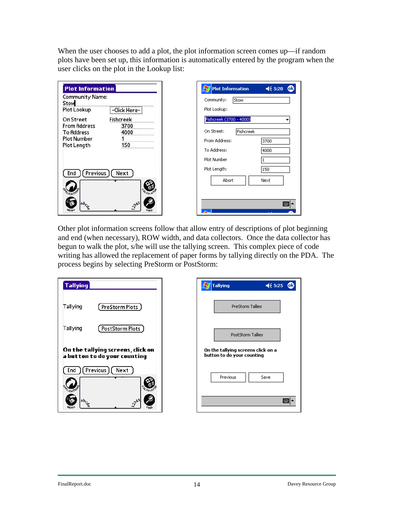When the user chooses to add a plot, the plot information screen comes up—if random plots have been set up, this information is automatically entered by the program when the user clicks on the plot in the Lookup list:

| <b>Plot Information</b>          |                   | <b>Plot Information</b>   | $\leq 5:20$<br>ЮR |
|----------------------------------|-------------------|---------------------------|-------------------|
| <b>Community Name:</b><br>Stow   |                   | Community:<br><b>Stow</b> |                   |
| Plot Lookup                      | -Click Here-      | Plot Lookup:              |                   |
| On Street<br><b>From Address</b> | Fishcreek<br>3700 | Fishcreek (3700 - 4000)   |                   |
| <b>To Address</b>                | 4000              | On Street:<br>Fishcreek   |                   |
| <b>Plot Number</b>               |                   | From Address:             | 3700              |
| Plot Length                      | 150<br>           | To Address:               | 4000              |
|                                  |                   | Plot Number               |                   |
| Previous)<br>End                 | Next              | Plot Length:              | 150               |
|                                  |                   | Abort                     | Next              |
|                                  |                   |                           |                   |
| $ab_c$                           |                   |                           | Ī                 |
|                                  | OWP               |                           |                   |

Other plot information screens follow that allow entry of descriptions of plot beginning and end (when necessary), ROW width, and data collectors. Once the data collector has begun to walk the plot, s/he will use the tallying screen. This complex piece of code writing has allowed the replacement of paper forms by tallying directly on the PDA. The process begins by selecting PreStorm or PostStorm:

| <b>Tallying</b>       |                                                                   |  |  |  |  |  |  |  |
|-----------------------|-------------------------------------------------------------------|--|--|--|--|--|--|--|
| Tallying              | ( PreStorm Plots )                                                |  |  |  |  |  |  |  |
| Tallying              | [ PostStorm Plots ]                                               |  |  |  |  |  |  |  |
|                       | On the tallying screens, click on<br>a button to do your counting |  |  |  |  |  |  |  |
|                       | End ) (Previous) (Next                                            |  |  |  |  |  |  |  |
| LICATIO               |                                                                   |  |  |  |  |  |  |  |
| $ab_{c_{\mathbb{Q}}}$ | 345                                                               |  |  |  |  |  |  |  |

| оk<br><b>Tallying</b><br>$\blacktriangleleft 6$ 5:25             |
|------------------------------------------------------------------|
| PreStorm Tallies                                                 |
| <b>PostStorm Tallies</b>                                         |
| On the tallying screens click on a<br>button to do your counting |
| Previous<br>Save                                                 |
|                                                                  |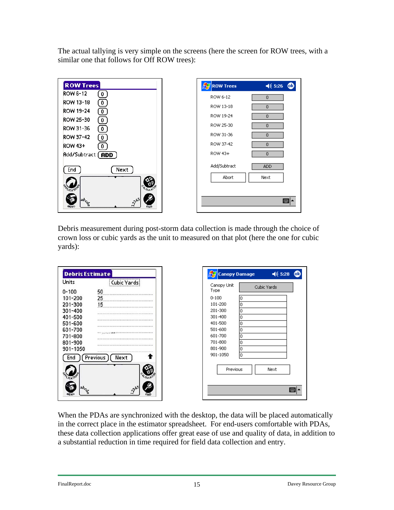The actual tallying is very simple on the screens (here the screen for ROW trees, with a similar one that follows for Off ROW trees):

| <b>ROW Trees</b>                                         | <b>A</b> ROW Trees | $\le 5:26$<br>ЮR |
|----------------------------------------------------------|--------------------|------------------|
| ROW 6-12<br>$\mathbf{0}$                                 | ROW 6-12           | 0                |
| ROW 13-18<br>$\mathbf{0}$                                | ROW 13-18          | $\mathbf 0$      |
| <b>ROW 19-24</b><br>$\overline{0}$<br>ROW 25-30          | ROW 19-24          | $\mathbf 0$      |
| $\mathbf{0}$<br>ROW 31-36<br>$\boxed{0}$                 | ROW 25-30          | $\mathbf{0}$     |
| <b>ROW 37-42</b><br>$\overline{0}$                       | ROW 31-36          | $\mathbf 0$      |
| <b>ROW 43+</b><br>$\mathbf{0}$                           | ROW 37-42          | $\mathbf 0$      |
| Add/Subtract (ADD)                                       | ROW 43+            | 0                |
| End<br>Next                                              | Add/Subtract       | ADD.             |
| CATIC<br>CULA                                            | Abort              | Next             |
| 0.345<br>$ab_{c_{\alpha}}$<br><b>MENU</b><br><b>FIND</b> |                    | 圏                |

Debris measurement during post-storm data collection is made through the choice of crown loss or cubic yards as the unit to measured on that plot (here the one for cubic yards):

| <b>Debris Estimate</b> |                              | <b>Canopy Damage</b> | $465:28$ $@3$ |
|------------------------|------------------------------|----------------------|---------------|
| Units                  | Cubic Yards                  | Canopy Unit          |               |
| $0 - 100$              | 50                           | Cubic Yards<br>Type  |               |
| 101-200                | 25 <sub>2</sub>              | $0 - 100$<br>10      |               |
| 201-300                | 15                           | 101-200<br>Ω         |               |
| 301-400                |                              | 201-300<br>۱O        |               |
| 401-500                |                              | 301-400<br>۱O        |               |
| 501-600                |                              | 401-500<br>١o        |               |
| 601-700                |                              | 501-600<br>0         |               |
| 701-800                |                              | 601-700<br>۱O        |               |
| 801-900                |                              | 701-800<br>۱ū        |               |
| 901-1050               |                              | 801-900<br>١o        |               |
| End                    | Previous<br>Nex <sup>.</sup> | 901-1050<br>l۵       |               |
|                        |                              | Previous<br>Next     |               |
|                        |                              |                      |               |

When the PDAs are synchronized with the desktop, the data will be placed automatically in the correct place in the estimator spreadsheet. For end-users comfortable with PDAs, these data collection applications offer great ease of use and quality of data, in addition to a substantial reduction in time required for field data collection and entry.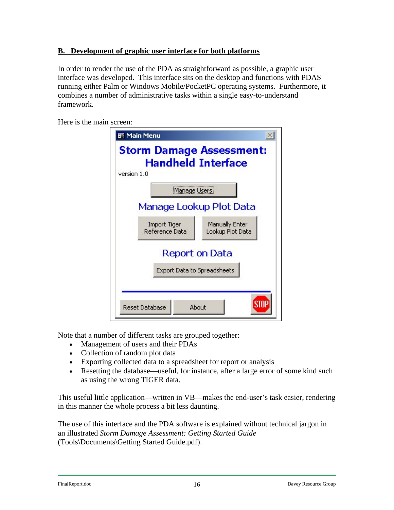### **B. Development of graphic user interface for both platforms**

In order to render the use of the PDA as straightforward as possible, a graphic user interface was developed. This interface sits on the desktop and functions with PDAS running either Palm or Windows Mobile/PocketPC operating systems. Furthermore, it combines a number of administrative tasks within a single easy-to-understand framework.

Here is the main screen:

| <b>SB Main Menu</b>                            |                                    |
|------------------------------------------------|------------------------------------|
| <b>Storm Damage Assessment:</b><br>version 1.0 | <b>Handheld Interface</b>          |
| Manage Users                                   |                                    |
|                                                | Manage Lookup Plot Data            |
| Import Tiger<br>Reference Data                 | Manually Enter<br>Lookup Plot Data |
| Export Data to Spreadsheets                    | Report on Data                     |
| <b>Reset Database</b>                          | About                              |

Note that a number of different tasks are grouped together:

- Management of users and their PDAs
- Collection of random plot data
- Exporting collected data to a spreadsheet for report or analysis
- Resetting the database—useful, for instance, after a large error of some kind such as using the wrong TIGER data.

This useful little application—written in VB—makes the end-user's task easier, rendering in this manner the whole process a bit less daunting.

The use of this interface and the PDA software is explained without technical jargon in an illustrated *Storm Damage Assessment: Getting Started Guide*  (Tools\Documents\Getting Started Guide.pdf).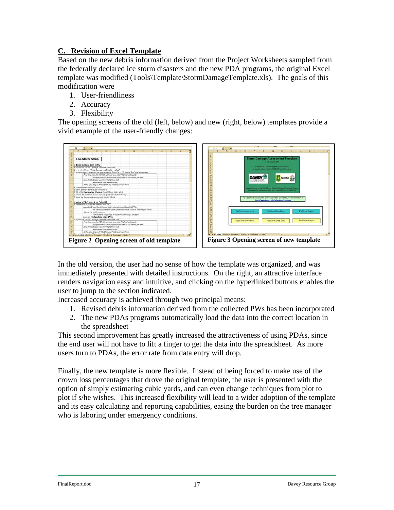### **C. Revision of Excel Template**

Based on the new debris information derived from the Project Worksheets sampled from the federally declared ice storm disasters and the new PDA programs, the original Excel template was modified (Tools\Template\StormDamageTemplate.xls). The goals of this modification were

- 1. User-friendliness
- 2. Accuracy
- 3. Flexibility

The opening screens of the old (left, below) and new (right, below) templates provide a vivid example of the user-friendly changes:



In the old version, the user had no sense of how the template was organized, and was immediately presented with detailed instructions. On the right, an attractive interface renders navigation easy and intuitive, and clicking on the hyperlinked buttons enables the user to jump to the section indicated.

Increased accuracy is achieved through two principal means:

- 1. Revised debris information derived from the collected PWs has been incorporated
- 2. The new PDAs programs automatically load the data into the correct location in the spreadsheet

This second improvement has greatly increased the attractiveness of using PDAs, since the end user will not have to lift a finger to get the data into the spreadsheet. As more users turn to PDAs, the error rate from data entry will drop.

Finally, the new template is more flexible. Instead of being forced to make use of the crown loss percentages that drove the original template, the user is presented with the option of simply estimating cubic yards, and can even change techniques from plot to plot if s/he wishes. This increased flexibility will lead to a wider adoption of the template and its easy calculating and reporting capabilities, easing the burden on the tree manager who is laboring under emergency conditions.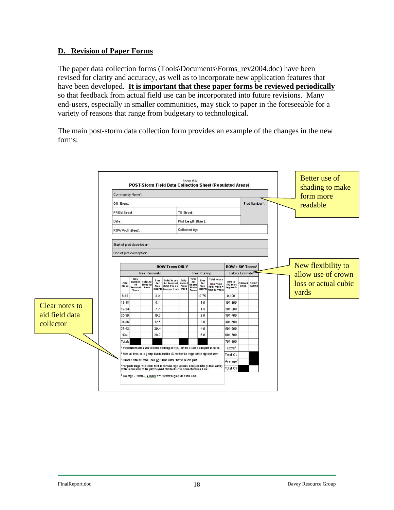#### **D. Revision of Paper Forms**

The paper data collection forms (Tools\Documents\Forms\_rev2004.doc) have been revised for clarity and accuracy, as well as to incorporate new application features that have been developed. **It is important that these paper forms be reviewed periodically** so that feedback from actual field use can be incorporated into future revisions. Many end-users, especially in smaller communities, may stick to paper in the foreseeable for a variety of reasons that range from budgetary to technological.

The main post-storm data collection form provides an example of the changes in the new forms:

|                                                                                                                                                                                                                                                                                                                                                                       | Form 5A<br>POST-Storm Field Data Collection Sheet (Populated Areas)<br>Community Name <sup>t</sup> :<br>Plot Number <sup>1</sup> :<br>ON Street:<br>FROM Street:<br>TO Street:<br>Plot Length (ft/mi):<br>Date:<br>Collected by:<br>ROW Width (feet): |                                                        |                                                         |                                        |                                                                                    |                                            |                                             | Better use of<br>shading to make<br>form more<br>readable |                                                               |                                                                 |                           |  |  |                    |                    |                      |
|-----------------------------------------------------------------------------------------------------------------------------------------------------------------------------------------------------------------------------------------------------------------------------------------------------------------------------------------------------------------------|-------------------------------------------------------------------------------------------------------------------------------------------------------------------------------------------------------------------------------------------------------|--------------------------------------------------------|---------------------------------------------------------|----------------------------------------|------------------------------------------------------------------------------------|--------------------------------------------|---------------------------------------------|-----------------------------------------------------------|---------------------------------------------------------------|-----------------------------------------------------------------|---------------------------|--|--|--------------------|--------------------|----------------------|
|                                                                                                                                                                                                                                                                                                                                                                       |                                                                                                                                                                                                                                                       | Start of plot description:<br>End of plot description: |                                                         |                                        |                                                                                    |                                            |                                             |                                                           |                                                               |                                                                 |                           |  |  |                    |                    |                      |
|                                                                                                                                                                                                                                                                                                                                                                       | <b>ROW Trees ONLY</b>                                                                                                                                                                                                                                 |                                                        |                                                         |                                        |                                                                                    |                                            |                                             |                                                           |                                                               | $ROW + 50'$ Trees <sup>2</sup><br>Debris Estimate <sup>**</sup> |                           |  |  | New flexibility to |                    |                      |
|                                                                                                                                                                                                                                                                                                                                                                       | <b>DBH</b><br>Class                                                                                                                                                                                                                                   | Tall y<br><b>Number</b><br>of<br>Romo val<br>Tree c    | <b>Tree Removals</b><br>Total All<br>Remo val<br>Tree c | <b>Time</b><br>Per<br>Tree<br>(hour c) | <b>Total Hours</b><br>the Removal<br>this toocx<br>tme per tree)                   | <b>Tally</b><br>Ha zard<br>Prune<br>Tree c | Total<br>All<br>Ha zardi<br>Prune<br>Tree c | Tree Pruning<br>Time<br>Per<br>Tree<br>(hour 6)           | Total Hours<br><b>Haa Prune</b><br>(bbl toocx<br>tme per tree | Rate In<br>100-Foot<br><b>Segments</b>                          | CROWN CUBIC<br>LOSS YARDS |  |  |                    | allow use of crown | loss or actual cubic |
|                                                                                                                                                                                                                                                                                                                                                                       | $6 - 12$                                                                                                                                                                                                                                              |                                                        |                                                         | 3.2                                    |                                                                                    |                                            |                                             | 0.75                                                      |                                                               | $0 - 100$                                                       |                           |  |  |                    |                    | yards                |
| Clear notes to                                                                                                                                                                                                                                                                                                                                                        | $13 - 18$                                                                                                                                                                                                                                             |                                                        |                                                         | 5.1                                    |                                                                                    |                                            |                                             | 1.0                                                       |                                                               | 101-200                                                         |                           |  |  |                    |                    |                      |
|                                                                                                                                                                                                                                                                                                                                                                       | 19-24                                                                                                                                                                                                                                                 |                                                        |                                                         | 7.7                                    |                                                                                    |                                            |                                             | 1.5                                                       |                                                               | 201-300                                                         |                           |  |  |                    |                    |                      |
| aid field data                                                                                                                                                                                                                                                                                                                                                        | 25-30                                                                                                                                                                                                                                                 |                                                        |                                                         | 10.2                                   |                                                                                    |                                            |                                             | 2.0                                                       |                                                               | 301-400                                                         |                           |  |  |                    |                    |                      |
| collector                                                                                                                                                                                                                                                                                                                                                             | 31-36                                                                                                                                                                                                                                                 |                                                        |                                                         | 12.5                                   |                                                                                    |                                            |                                             | 3.0                                                       |                                                               | 401-500                                                         |                           |  |  |                    |                    |                      |
|                                                                                                                                                                                                                                                                                                                                                                       | 37-42                                                                                                                                                                                                                                                 |                                                        |                                                         | 20.4                                   |                                                                                    |                                            |                                             | 4.0                                                       |                                                               | 501-600                                                         |                           |  |  |                    |                    |                      |
|                                                                                                                                                                                                                                                                                                                                                                       | $43+$                                                                                                                                                                                                                                                 |                                                        |                                                         | 28.0                                   |                                                                                    |                                            |                                             | 5.0                                                       |                                                               | 601-700                                                         |                           |  |  |                    |                    |                      |
|                                                                                                                                                                                                                                                                                                                                                                       | Totals                                                                                                                                                                                                                                                |                                                        |                                                         |                                        |                                                                                    |                                            |                                             |                                                           |                                                               | 701-800                                                         |                           |  |  |                    |                    |                      |
|                                                                                                                                                                                                                                                                                                                                                                       |                                                                                                                                                                                                                                                       |                                                        |                                                         |                                        | If plot inform about was recorded during setup, just fill in name and plot number. |                                            |                                             |                                                           |                                                               | Extra <sup>4</sup>                                              |                           |  |  |                    |                    |                      |
| Rate all trees as a group that fall within 50 tee to fibe edge of the right-of-way.<br>Total CL<br>Choose either Crown Loss or Cubic Yards for the whole plot.<br>Average <sup>-</sup><br>*Forplots lorger than 800 feet, report average (Crown Loss) or total (Cribic Yards).<br>of the remainder of the plotbeyond 800 feet in the correct column here.<br>Total CY |                                                                                                                                                                                                                                                       |                                                        |                                                         |                                        |                                                                                    |                                            |                                             |                                                           |                                                               |                                                                 |                           |  |  |                    |                    |                      |
|                                                                                                                                                                                                                                                                                                                                                                       |                                                                                                                                                                                                                                                       |                                                        |                                                         |                                        |                                                                                    |                                            |                                             |                                                           |                                                               |                                                                 |                           |  |  |                    |                    |                      |
|                                                                                                                                                                                                                                                                                                                                                                       |                                                                                                                                                                                                                                                       |                                                        |                                                         |                                        |                                                                                    |                                            |                                             |                                                           |                                                               |                                                                 |                           |  |  |                    |                    |                      |
|                                                                                                                                                                                                                                                                                                                                                                       | * Average = Total ÷ Jumber of 100-footsegments examined.                                                                                                                                                                                              |                                                        |                                                         |                                        |                                                                                    |                                            |                                             |                                                           |                                                               |                                                                 |                           |  |  |                    |                    |                      |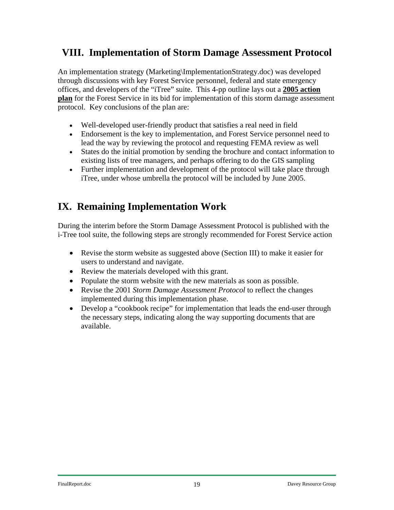# <span id="page-18-0"></span>**VIII. Implementation of Storm Damage Assessment Protocol**

An implementation strategy (Marketing\ImplementationStrategy.doc) was developed through discussions with key Forest Service personnel, federal and state emergency offices, and developers of the "iTree" suite. This 4-pp outline lays out a **2005 action plan** for the Forest Service in its bid for implementation of this storm damage assessment protocol. Key conclusions of the plan are:

- Well-developed user-friendly product that satisfies a real need in field
- Endorsement is the key to implementation, and Forest Service personnel need to lead the way by reviewing the protocol and requesting FEMA review as well
- States do the initial promotion by sending the brochure and contact information to existing lists of tree managers, and perhaps offering to do the GIS sampling
- Further implementation and development of the protocol will take place through iTree, under whose umbrella the protocol will be included by June 2005.

# **IX. Remaining Implementation Work**

During the interim before the Storm Damage Assessment Protocol is published with the i-Tree tool suite, the following steps are strongly recommended for Forest Service action

- Revise the storm website as suggested above (Section III) to make it easier for users to understand and navigate.
- Review the materials developed with this grant.
- Populate the storm website with the new materials as soon as possible.
- Revise the 2001 *Storm Damage Assessment Protocol* to reflect the changes implemented during this implementation phase.
- Develop a "cookbook recipe" for implementation that leads the end-user through the necessary steps, indicating along the way supporting documents that are available.